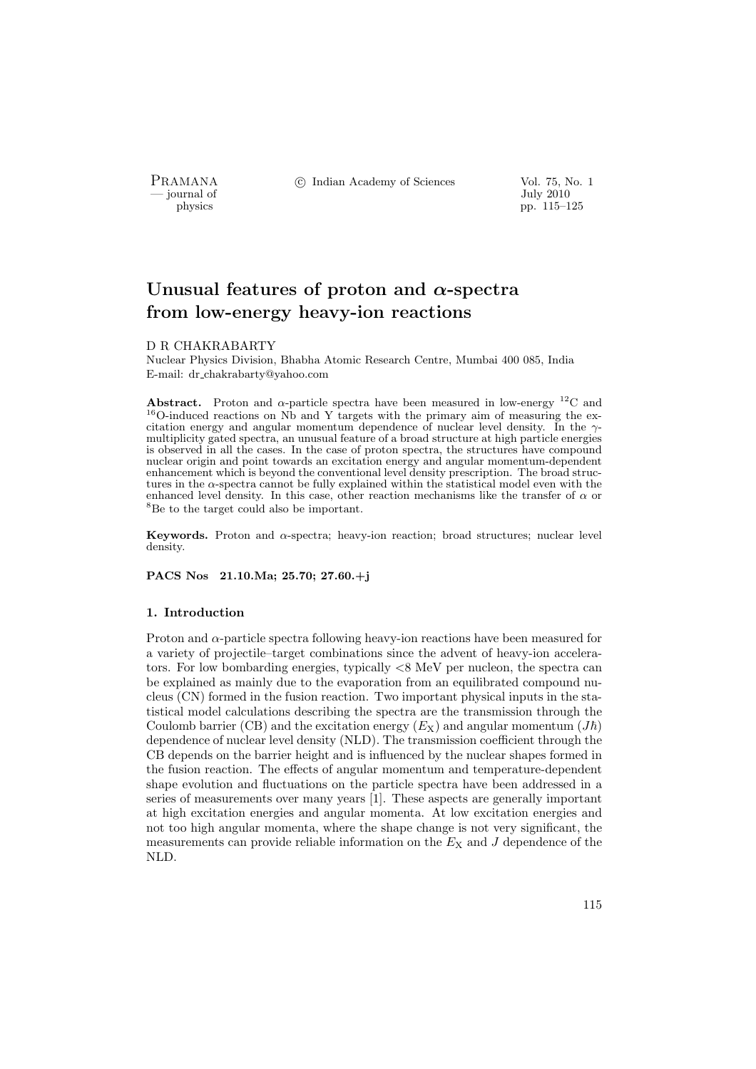- journal of<br>physics

PRAMANA °c Indian Academy of Sciences Vol. 75, No. 1

pp. 115–125

# Unusual features of proton and  $\alpha$ -spectra from low-energy heavy-ion reactions

## D R CHAKRABARTY

Nuclear Physics Division, Bhabha Atomic Research Centre, Mumbai 400 085, India E-mail: dr chakrabarty@yahoo.com

Abstract. Proton and  $\alpha$ -particle spectra have been measured in low-energy <sup>12</sup>C and  $16$ O-induced reactions on Nb and Y targets with the primary aim of measuring the excitation energy and angular momentum dependence of nuclear level density. In the  $\gamma$ multiplicity gated spectra, an unusual feature of a broad structure at high particle energies is observed in all the cases. In the case of proton spectra, the structures have compound nuclear origin and point towards an excitation energy and angular momentum-dependent enhancement which is beyond the conventional level density prescription. The broad structures in the  $\alpha$ -spectra cannot be fully explained within the statistical model even with the enhanced level density. In this case, other reaction mechanisms like the transfer of  $\alpha$  or <sup>8</sup>Be to the target could also be important.

Keywords. Proton and  $\alpha$ -spectra; heavy-ion reaction; broad structures; nuclear level density.

PACS Nos 21.10.Ma; 25.70; 27.60.+j

## 1. Introduction

Proton and  $\alpha$ -particle spectra following heavy-ion reactions have been measured for a variety of projectile–target combinations since the advent of heavy-ion accelerators. For low bombarding energies, typically <8 MeV per nucleon, the spectra can be explained as mainly due to the evaporation from an equilibrated compound nucleus (CN) formed in the fusion reaction. Two important physical inputs in the statistical model calculations describing the spectra are the transmission through the Coulomb barrier (CB) and the excitation energy  $(E_X)$  and angular momentum  $(J\hbar)$ dependence of nuclear level density (NLD). The transmission coefficient through the CB depends on the barrier height and is influenced by the nuclear shapes formed in the fusion reaction. The effects of angular momentum and temperature-dependent shape evolution and fluctuations on the particle spectra have been addressed in a series of measurements over many years [1]. These aspects are generally important at high excitation energies and angular momenta. At low excitation energies and not too high angular momenta, where the shape change is not very significant, the measurements can provide reliable information on the  $E_X$  and  $J$  dependence of the NLD.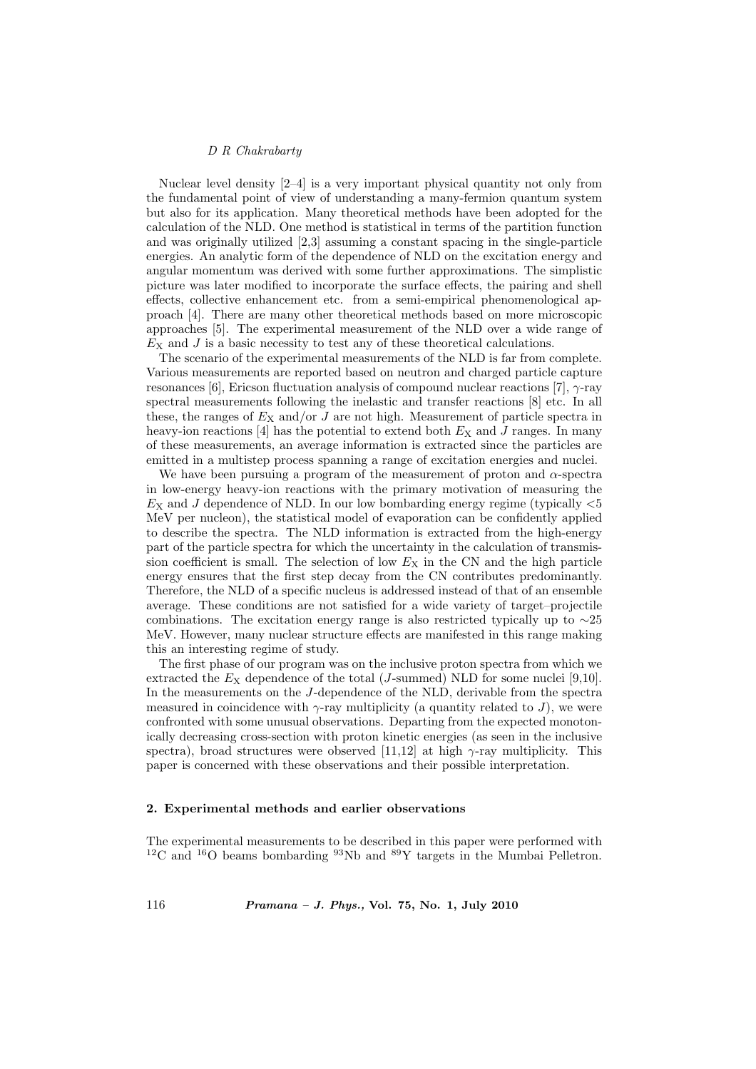Nuclear level density [2–4] is a very important physical quantity not only from the fundamental point of view of understanding a many-fermion quantum system but also for its application. Many theoretical methods have been adopted for the calculation of the NLD. One method is statistical in terms of the partition function and was originally utilized [2,3] assuming a constant spacing in the single-particle energies. An analytic form of the dependence of NLD on the excitation energy and angular momentum was derived with some further approximations. The simplistic picture was later modified to incorporate the surface effects, the pairing and shell effects, collective enhancement etc. from a semi-empirical phenomenological approach [4]. There are many other theoretical methods based on more microscopic approaches [5]. The experimental measurement of the NLD over a wide range of  $E<sub>X</sub>$  and J is a basic necessity to test any of these theoretical calculations.

The scenario of the experimental measurements of the NLD is far from complete. Various measurements are reported based on neutron and charged particle capture resonances [6], Ericson fluctuation analysis of compound nuclear reactions [7], γ-ray spectral measurements following the inelastic and transfer reactions [8] etc. In all these, the ranges of  $E_X$  and/or J are not high. Measurement of particle spectra in heavy-ion reactions [4] has the potential to extend both  $E_X$  and J ranges. In many of these measurements, an average information is extracted since the particles are emitted in a multistep process spanning a range of excitation energies and nuclei.

We have been pursuing a program of the measurement of proton and  $\alpha$ -spectra in low-energy heavy-ion reactions with the primary motivation of measuring the  $E<sub>X</sub>$  and J dependence of NLD. In our low bombarding energy regime (typically  $<5$ ) MeV per nucleon), the statistical model of evaporation can be confidently applied to describe the spectra. The NLD information is extracted from the high-energy part of the particle spectra for which the uncertainty in the calculation of transmission coefficient is small. The selection of low  $E<sub>X</sub>$  in the CN and the high particle energy ensures that the first step decay from the CN contributes predominantly. Therefore, the NLD of a specific nucleus is addressed instead of that of an ensemble average. These conditions are not satisfied for a wide variety of target–projectile combinations. The excitation energy range is also restricted typically up to  $\sim$ 25 MeV. However, many nuclear structure effects are manifested in this range making this an interesting regime of study.

The first phase of our program was on the inclusive proton spectra from which we extracted the  $E<sub>X</sub>$  dependence of the total (*J*-summed) NLD for some nuclei [9,10]. In the measurements on the J-dependence of the NLD, derivable from the spectra measured in coincidence with  $\gamma$ -ray multiplicity (a quantity related to J), we were confronted with some unusual observations. Departing from the expected monotonically decreasing cross-section with proton kinetic energies (as seen in the inclusive spectra), broad structures were observed [11,12] at high  $\gamma$ -ray multiplicity. This paper is concerned with these observations and their possible interpretation.

## 2. Experimental methods and earlier observations

The experimental measurements to be described in this paper were performed with  $12^1$ C and  $16^1$ O beams bombarding  $93$ Nb and  $89$ Y targets in the Mumbai Pelletron.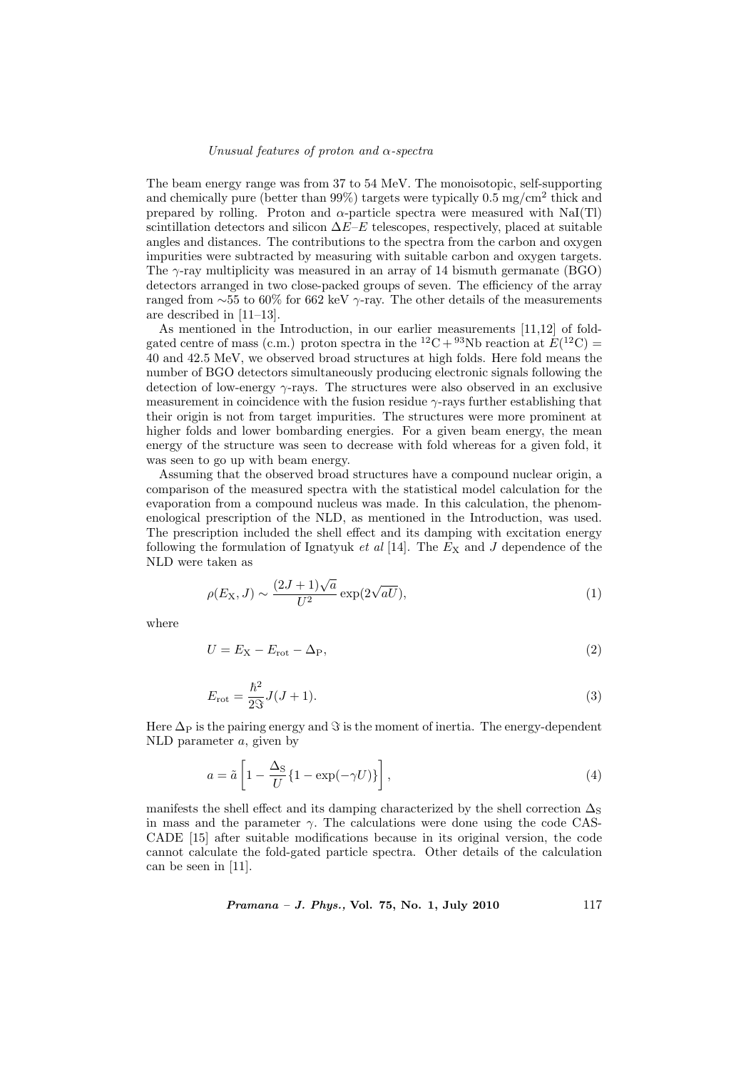## Unusual features of proton and  $\alpha$ -spectra

The beam energy range was from 37 to 54 MeV. The monoisotopic, self-supporting and chemically pure (better than 99%) targets were typically  $0.5 \text{ mg/cm}^2$  thick and prepared by rolling. Proton and  $\alpha$ -particle spectra were measured with NaI(Tl) scintillation detectors and silicon  $\Delta E-E$  telescopes, respectively, placed at suitable angles and distances. The contributions to the spectra from the carbon and oxygen impurities were subtracted by measuring with suitable carbon and oxygen targets. The  $\gamma$ -ray multiplicity was measured in an array of 14 bismuth germanate (BGO) detectors arranged in two close-packed groups of seven. The efficiency of the array ranged from ∼55 to 60% for 662 keV  $\gamma$ -ray. The other details of the measurements are described in [11–13].

As mentioned in the Introduction, in our earlier measurements [11,12] of foldgated centre of mass (c.m.) proton spectra in the <sup>12</sup>C + <sup>93</sup>Nb reaction at  $E(^{12}C)$  = 40 and 42.5 MeV, we observed broad structures at high folds. Here fold means the number of BGO detectors simultaneously producing electronic signals following the detection of low-energy  $\gamma$ -rays. The structures were also observed in an exclusive measurement in coincidence with the fusion residue  $\gamma$ -rays further establishing that their origin is not from target impurities. The structures were more prominent at higher folds and lower bombarding energies. For a given beam energy, the mean energy of the structure was seen to decrease with fold whereas for a given fold, it was seen to go up with beam energy.

Assuming that the observed broad structures have a compound nuclear origin, a comparison of the measured spectra with the statistical model calculation for the evaporation from a compound nucleus was made. In this calculation, the phenomenological prescription of the NLD, as mentioned in the Introduction, was used. The prescription included the shell effect and its damping with excitation energy following the formulation of Ignatyuk et al [14]. The  $E_X$  and J dependence of the NLD were taken as

$$
\rho(E_X, J) \sim \frac{(2J+1)\sqrt{a}}{U^2} \exp(2\sqrt{aU}),\tag{1}
$$

where

$$
U = E_{\rm X} - E_{\rm rot} - \Delta_{\rm P},\tag{2}
$$

$$
E_{\rm rot} = \frac{\hbar^2}{2S} J(J+1).
$$
 (3)

Here  $\Delta_P$  is the pairing energy and  $\Im$  is the moment of inertia. The energy-dependent NLD parameter a, given by

$$
a = \tilde{a} \left[ 1 - \frac{\Delta_{\rm S}}{U} \{ 1 - \exp(-\gamma U) \} \right],\tag{4}
$$

manifests the shell effect and its damping characterized by the shell correction  $\Delta_S$ in mass and the parameter  $\gamma$ . The calculations were done using the code CAS-CADE [15] after suitable modifications because in its original version, the code cannot calculate the fold-gated particle spectra. Other details of the calculation can be seen in [11].

Pramana – J. Phys., Vol. 75, No. 1, July 2010 117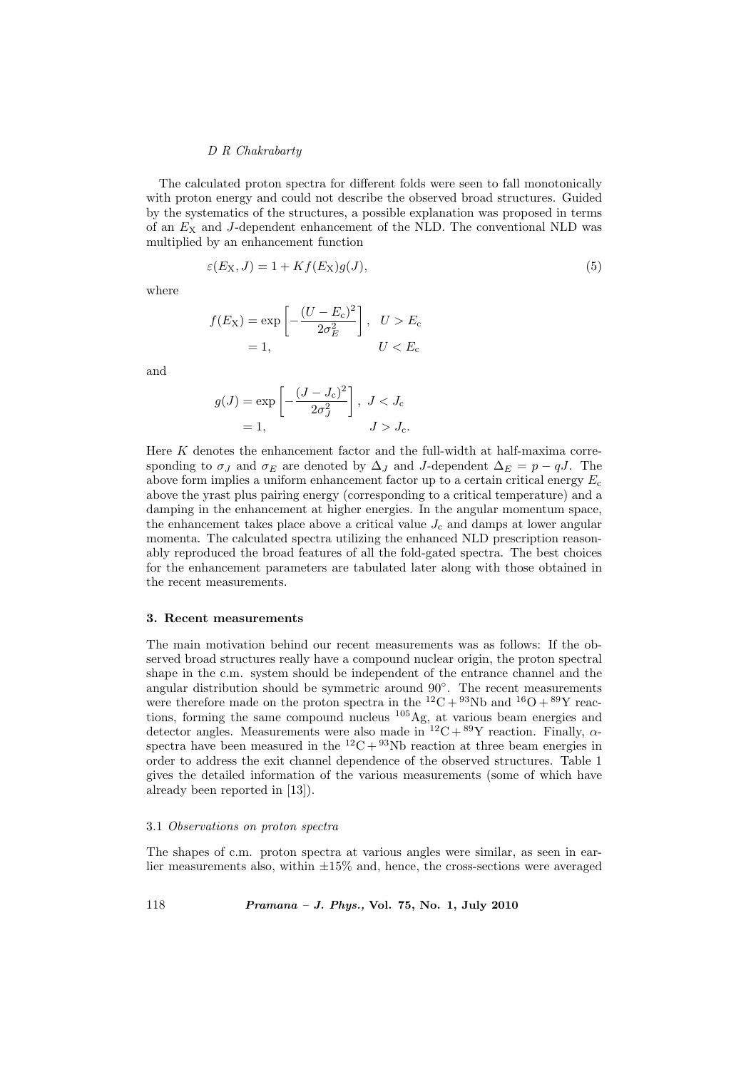The calculated proton spectra for different folds were seen to fall monotonically with proton energy and could not describe the observed broad structures. Guided by the systematics of the structures, a possible explanation was proposed in terms of an  $E<sub>X</sub>$  and J-dependent enhancement of the NLD. The conventional NLD was multiplied by an enhancement function

$$
\varepsilon(E_X, J) = 1 + Kf(E_X)g(J),\tag{5}
$$

where

$$
f(E_X) = \exp\left[-\frac{(U - E_c)^2}{2\sigma_E^2}\right], \quad U > E_c
$$
  
= 1, \qquad U < E\_c

and

$$
g(J) = \exp\left[-\frac{(J-J_{\rm c})^2}{2\sigma_J^2}\right], J < J_{\rm c}
$$

$$
= 1, \qquad J > J_{\rm c}.
$$

Here K denotes the enhancement factor and the full-width at half-maxima corresponding to  $\sigma_J$  and  $\sigma_E$  are denoted by  $\Delta_J$  and J-dependent  $\Delta_E = p - qJ$ . The above form implies a uniform enhancement factor up to a certain critical energy  $E_c$ above the yrast plus pairing energy (corresponding to a critical temperature) and a damping in the enhancement at higher energies. In the angular momentum space, the enhancement takes place above a critical value  $J_c$  and damps at lower angular momenta. The calculated spectra utilizing the enhanced NLD prescription reasonably reproduced the broad features of all the fold-gated spectra. The best choices for the enhancement parameters are tabulated later along with those obtained in the recent measurements.

## 3. Recent measurements

The main motivation behind our recent measurements was as follows: If the observed broad structures really have a compound nuclear origin, the proton spectral shape in the c.m. system should be independent of the entrance channel and the angular distribution should be symmetric around 90◦ . The recent measurements were therefore made on the proton spectra in the  ${}^{12}C + {}^{93}Nb$  and  ${}^{16}O + {}^{89}Y$  reactions, forming the same compound nucleus <sup>105</sup>Ag, at various beam energies and detector angles. Measurements were also made in  ${}^{12}C + {}^{89}Y$  reaction. Finally,  $\alpha$ spectra have been measured in the <sup>12</sup>C + <sup>93</sup>Nb reaction at three beam energies in order to address the exit channel dependence of the observed structures. Table 1 gives the detailed information of the various measurements (some of which have already been reported in [13]).

## 3.1 Observations on proton spectra

The shapes of c.m. proton spectra at various angles were similar, as seen in earlier measurements also, within  $\pm 15\%$  and, hence, the cross-sections were averaged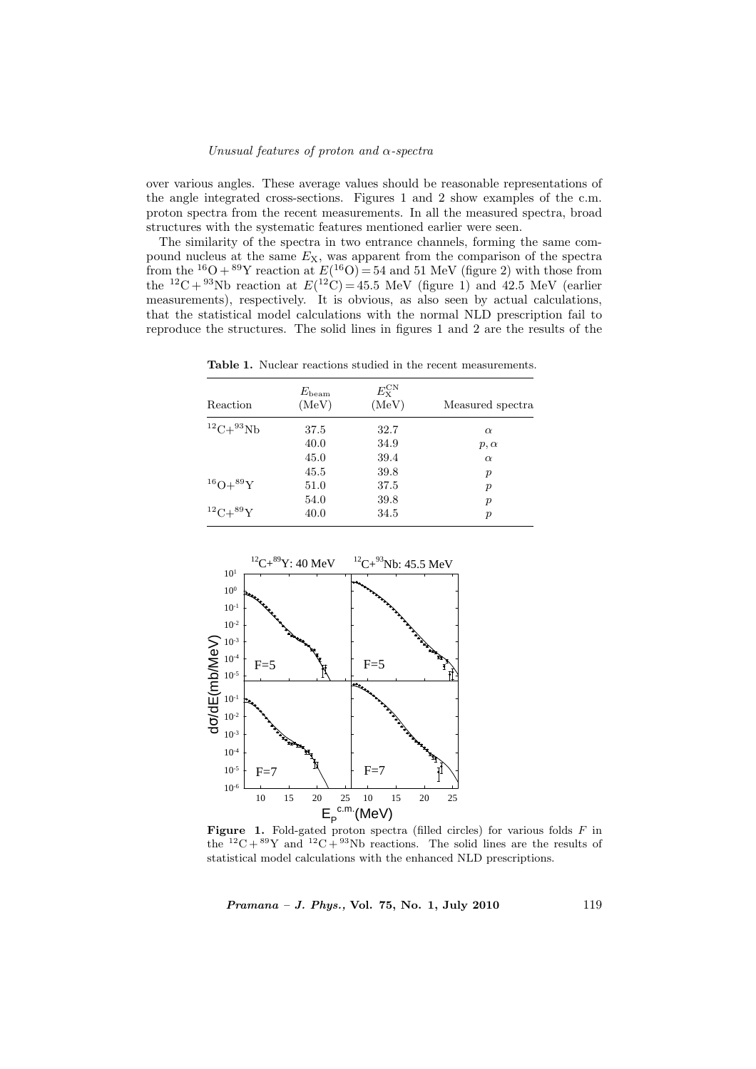## Unusual features of proton and  $\alpha$ -spectra

over various angles. These average values should be reasonable representations of the angle integrated cross-sections. Figures 1 and 2 show examples of the c.m. proton spectra from the recent measurements. In all the measured spectra, broad structures with the systematic features mentioned earlier were seen.

The similarity of the spectra in two entrance channels, forming the same compound nucleus at the same  $E_X$ , was apparent from the comparison of the spectra from the <sup>16</sup>O + <sup>89</sup>Y reaction at  $E(^{16}O) = 54$  and 51 MeV (figure 2) with those from the <sup>12</sup>C + <sup>93</sup>Nb reaction at  $E(^{12}C) = 45.5$  MeV (figure 1) and 42.5 MeV (earlier measurements), respectively. It is obvious, as also seen by actual calculations, that the statistical model calculations with the normal NLD prescription fail to reproduce the structures. The solid lines in figures 1 and 2 are the results of the

Table 1. Nuclear reactions studied in the recent measurements.

| Reaction             | $E_{\rm beam}$<br>(MeV) | $E_{\rm x}^{\rm CN}$<br>(MeV) | Measured spectra |  |  |
|----------------------|-------------------------|-------------------------------|------------------|--|--|
| ${}^{12}C+{}^{93}Nb$ | 37.5                    | 32.7                          | $\alpha$         |  |  |
|                      | 40.0                    | 34.9                          | $p, \alpha$      |  |  |
|                      | 45.0                    | 39.4                          | $\alpha$         |  |  |
|                      | 45.5                    | 39.8                          | $\boldsymbol{p}$ |  |  |
| $^{16}O+^{89}Y$      | 51.0                    | 37.5                          | $\boldsymbol{p}$ |  |  |
|                      | 54.0                    | 39.8                          | $\boldsymbol{p}$ |  |  |
| $^{12}C+^{89}Y$      | 40.0                    | 34.5                          | $\boldsymbol{p}$ |  |  |



**Figure 1.** Fold-gated proton spectra (filled circles) for various folds  $F$  in the <sup>12</sup>C + <sup>89</sup>Y and <sup>12</sup>C + <sup>93</sup>Nb reactions. The solid lines are the results of statistical model calculations with the enhanced NLD prescriptions.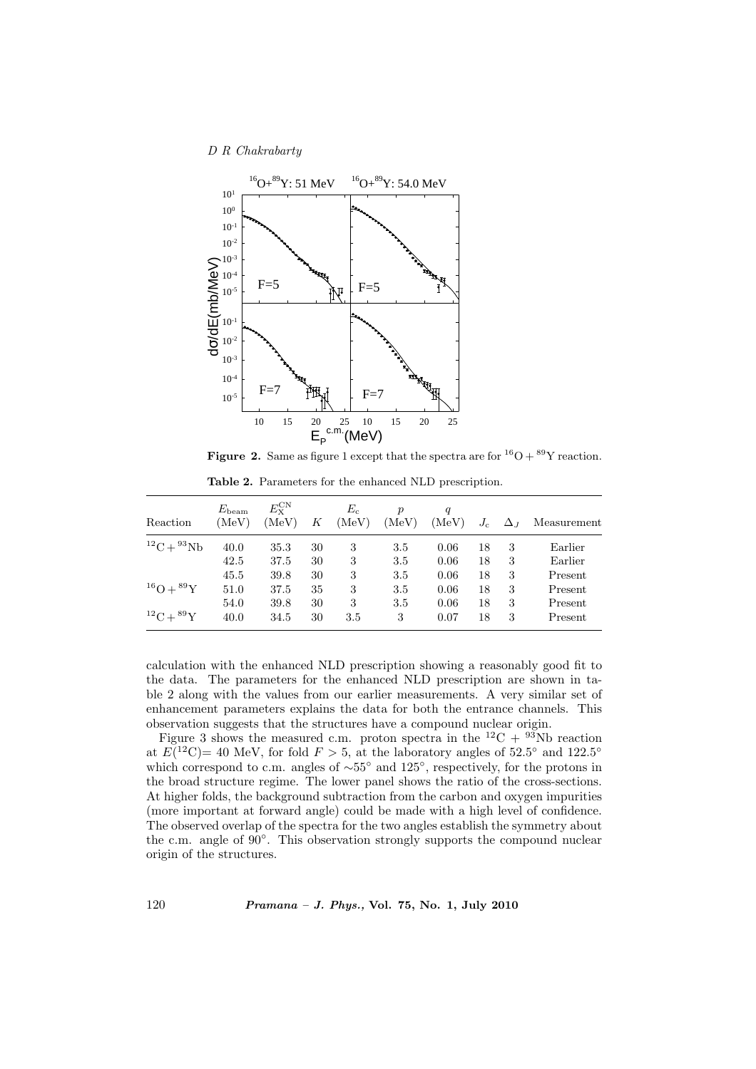

**Figure 2.** Same as figure 1 except that the spectra are for  ${}^{16}O + {}^{89}Y$  reaction.

| Reaction            | $E_{\rm beam}$<br>(MeV) | $E_{\rm x}^{\rm CN}$<br>(MeV) | Κ  | $E_{\rm c}$<br>(MeV) | $\boldsymbol{v}$<br>(MeV) | q<br>(MeV) | $J_c$ | $\Delta_J$ | Measurement |
|---------------------|-------------------------|-------------------------------|----|----------------------|---------------------------|------------|-------|------------|-------------|
| $^{12}C + ^{93}Nb$  | 40.0                    | 35.3                          | 30 | 3                    | 3.5                       | 0.06       | 18    | 3          | Earlier     |
|                     | 42.5                    | 37.5                          | 30 | 3                    | 3.5                       | 0.06       | 18    | 3          | Earlier     |
|                     | 45.5                    | 39.8                          | 30 | 3                    | 3.5                       | 0.06       | 18    | 3          | Present     |
| $^{16}O + ^{89}Y$   | 51.0                    | 37.5                          | 35 | 3                    | 3.5                       | 0.06       | 18    | 3          | Present     |
|                     | 54.0                    | 39.8                          | 30 | 3                    | $3.5\,$                   | 0.06       | 18    | 3          | Present     |
| ${}^{12}C+{}^{89}Y$ | 40.0                    | 34.5                          | 30 | 3.5                  | 3                         | 0.07       | 18    | 3          | Present     |

Table 2. Parameters for the enhanced NLD prescription.

calculation with the enhanced NLD prescription showing a reasonably good fit to the data. The parameters for the enhanced NLD prescription are shown in table 2 along with the values from our earlier measurements. A very similar set of enhancement parameters explains the data for both the entrance channels. This observation suggests that the structures have a compound nuclear origin.

Figure 3 shows the measured c.m. proton spectra in the <sup>12</sup>C + <sup>93</sup>Nb reaction at  $E(^{12}C)$  = 40 MeV, for fold  $F > 5$ , at the laboratory angles of 52.5° and 122.5° which correspond to c.m. angles of  $\sim 55^{\circ}$  and 125°, respectively, for the protons in the broad structure regime. The lower panel shows the ratio of the cross-sections. At higher folds, the background subtraction from the carbon and oxygen impurities (more important at forward angle) could be made with a high level of confidence. The observed overlap of the spectra for the two angles establish the symmetry about the c.m. angle of 90◦ . This observation strongly supports the compound nuclear origin of the structures.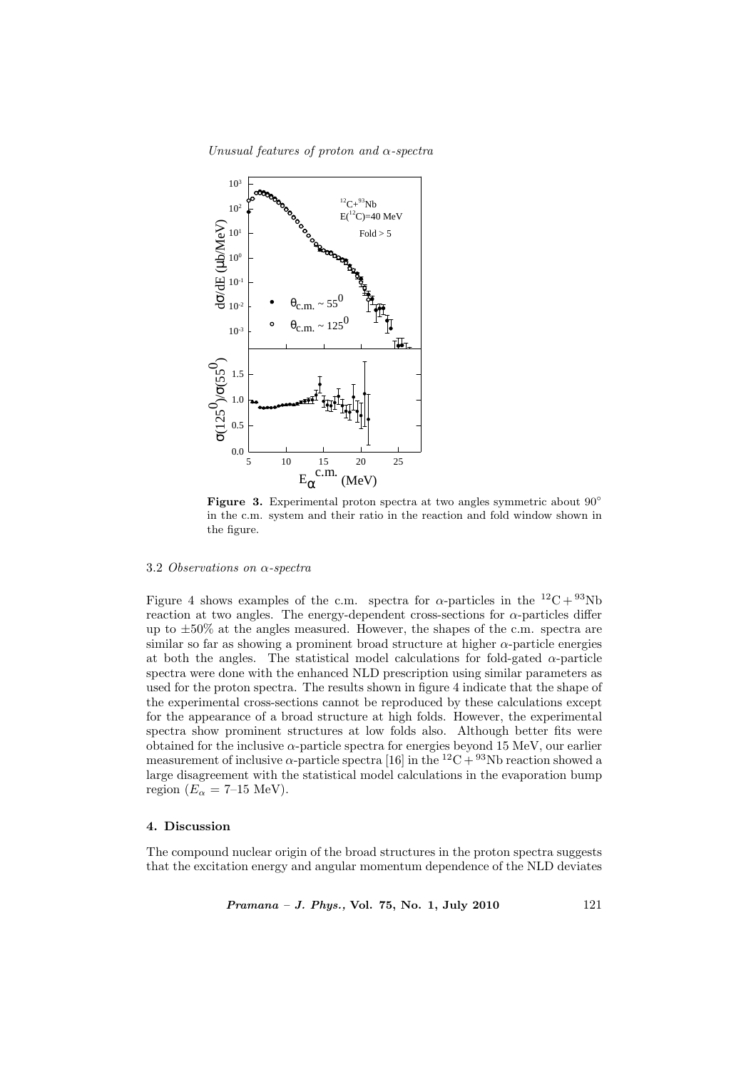Unusual features of proton and  $\alpha$ -spectra



Figure 3. Experimental proton spectra at two angles symmetric about 90<sup>°</sup> in the c.m. system and their ratio in the reaction and fold window shown in the figure.

## 3.2 Observations on α-spectra

Figure 4 shows examples of the c.m. spectra for  $\alpha$ -particles in the  $^{12}C + ^{93}Nb$ reaction at two angles. The energy-dependent cross-sections for  $\alpha$ -particles differ up to ±50% at the angles measured. However, the shapes of the c.m. spectra are similar so far as showing a prominent broad structure at higher  $\alpha$ -particle energies at both the angles. The statistical model calculations for fold-gated  $\alpha$ -particle spectra were done with the enhanced NLD prescription using similar parameters as used for the proton spectra. The results shown in figure 4 indicate that the shape of the experimental cross-sections cannot be reproduced by these calculations except for the appearance of a broad structure at high folds. However, the experimental spectra show prominent structures at low folds also. Although better fits were obtained for the inclusive  $\alpha$ -particle spectra for energies beyond 15 MeV, our earlier measurement of inclusive  $\alpha$ -particle spectra [16] in the <sup>12</sup>C + <sup>93</sup>Nb reaction showed a large disagreement with the statistical model calculations in the evaporation bump region ( $E_{\alpha} = 7{\text -}15$  MeV).

## 4. Discussion

The compound nuclear origin of the broad structures in the proton spectra suggests that the excitation energy and angular momentum dependence of the NLD deviates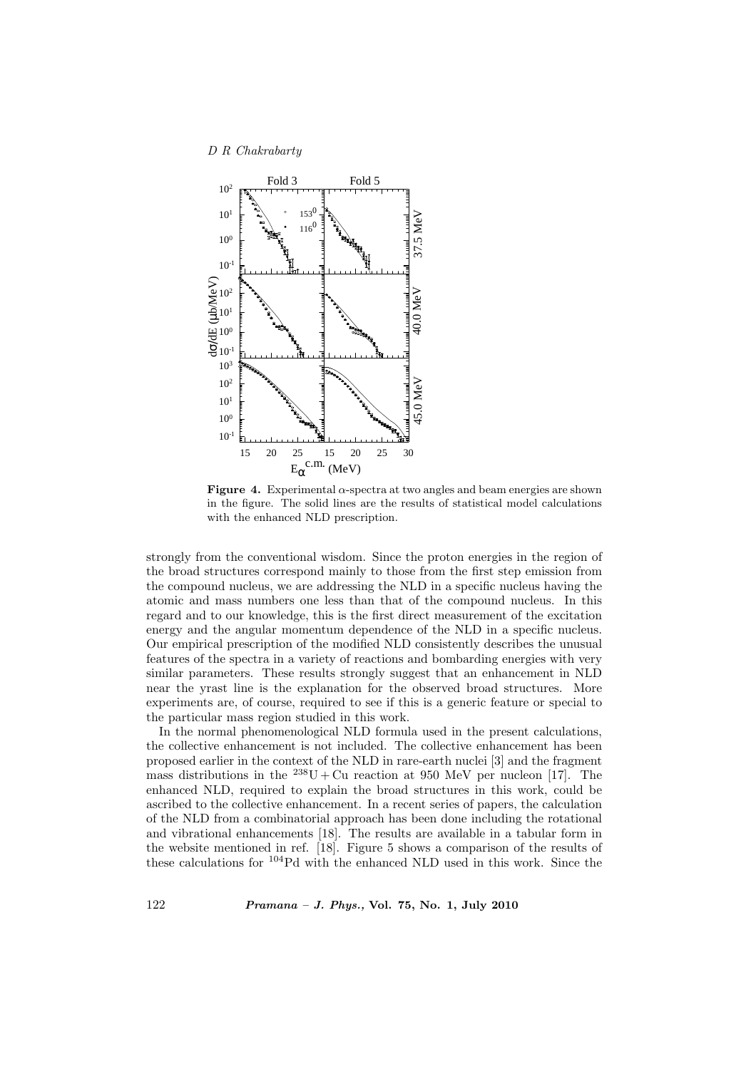

Figure 4. Experimental  $\alpha$ -spectra at two angles and beam energies are shown in the figure. The solid lines are the results of statistical model calculations with the enhanced NLD prescription.

strongly from the conventional wisdom. Since the proton energies in the region of the broad structures correspond mainly to those from the first step emission from the compound nucleus, we are addressing the NLD in a specific nucleus having the atomic and mass numbers one less than that of the compound nucleus. In this regard and to our knowledge, this is the first direct measurement of the excitation energy and the angular momentum dependence of the NLD in a specific nucleus. Our empirical prescription of the modified NLD consistently describes the unusual features of the spectra in a variety of reactions and bombarding energies with very similar parameters. These results strongly suggest that an enhancement in NLD near the yrast line is the explanation for the observed broad structures. More experiments are, of course, required to see if this is a generic feature or special to the particular mass region studied in this work.

In the normal phenomenological NLD formula used in the present calculations, the collective enhancement is not included. The collective enhancement has been proposed earlier in the context of the NLD in rare-earth nuclei [3] and the fragment mass distributions in the  $^{238}U + Cu$  reaction at 950 MeV per nucleon [17]. The enhanced NLD, required to explain the broad structures in this work, could be ascribed to the collective enhancement. In a recent series of papers, the calculation of the NLD from a combinatorial approach has been done including the rotational and vibrational enhancements [18]. The results are available in a tabular form in the website mentioned in ref. [18]. Figure 5 shows a comparison of the results of these calculations for <sup>104</sup>Pd with the enhanced NLD used in this work. Since the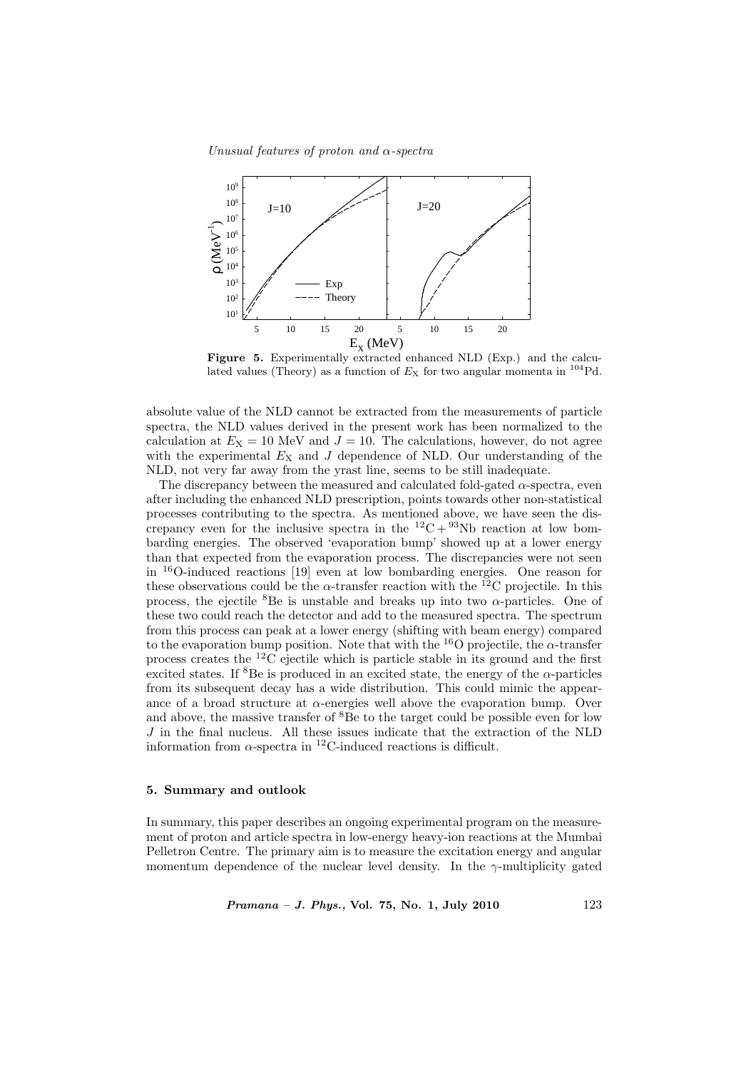Unusual features of proton and  $\alpha$ -spectra



Figure 5. Experimentally extracted enhanced NLD (Exp.) and the calculated values (Theory) as a function of  $E_X$  for two angular momenta in <sup>104</sup>Pd.

absolute value of the NLD cannot be extracted from the measurements of particle spectra, the NLD values derived in the present work has been normalized to the calculation at  $E_X = 10$  MeV and  $J = 10$ . The calculations, however, do not agree with the experimental  $E_X$  and  $J$  dependence of NLD. Our understanding of the NLD, not very far away from the yrast line, seems to be still inadequate.

The discrepancy between the measured and calculated fold-gated  $\alpha$ -spectra, even after including the enhanced NLD prescription, points towards other non-statistical processes contributing to the spectra. As mentioned above, we have seen the discrepancy even for the inclusive spectra in the  ${}^{12}C + {}^{93}Nb$  reaction at low bombarding energies. The observed 'evaporation bump' showed up at a lower energy than that expected from the evaporation process. The discrepancies were not seen in <sup>16</sup>O-induced reactions [19] even at low bombarding energies. One reason for these observations could be the  $\alpha$ -transfer reaction with the <sup>12</sup>C projectile. In this process, the ejectile <sup>8</sup>Be is unstable and breaks up into two  $\alpha$ -particles. One of these two could reach the detector and add to the measured spectra. The spectrum from this process can peak at a lower energy (shifting with beam energy) compared to the evaporation bump position. Note that with the  $^{16}$ O projectile, the  $\alpha$ -transfer process creates the <sup>12</sup>C ejectile which is particle stable in its ground and the first excited states. If  ${}^{8}$ Be is produced in an excited state, the energy of the  $\alpha$ -particles from its subsequent decay has a wide distribution. This could mimic the appearance of a broad structure at  $\alpha$ -energies well above the evaporation bump. Over and above, the massive transfer of  ${}^{8}$ Be to the target could be possible even for low J in the final nucleus. All these issues indicate that the extraction of the NLD information from  $\alpha$ -spectra in <sup>12</sup>C-induced reactions is difficult.

#### 5. Summary and outlook

In summary, this paper describes an ongoing experimental program on the measurement of proton and article spectra in low-energy heavy-ion reactions at the Mumbai Pelletron Centre. The primary aim is to measure the excitation energy and angular momentum dependence of the nuclear level density. In the  $\gamma$ -multiplicity gated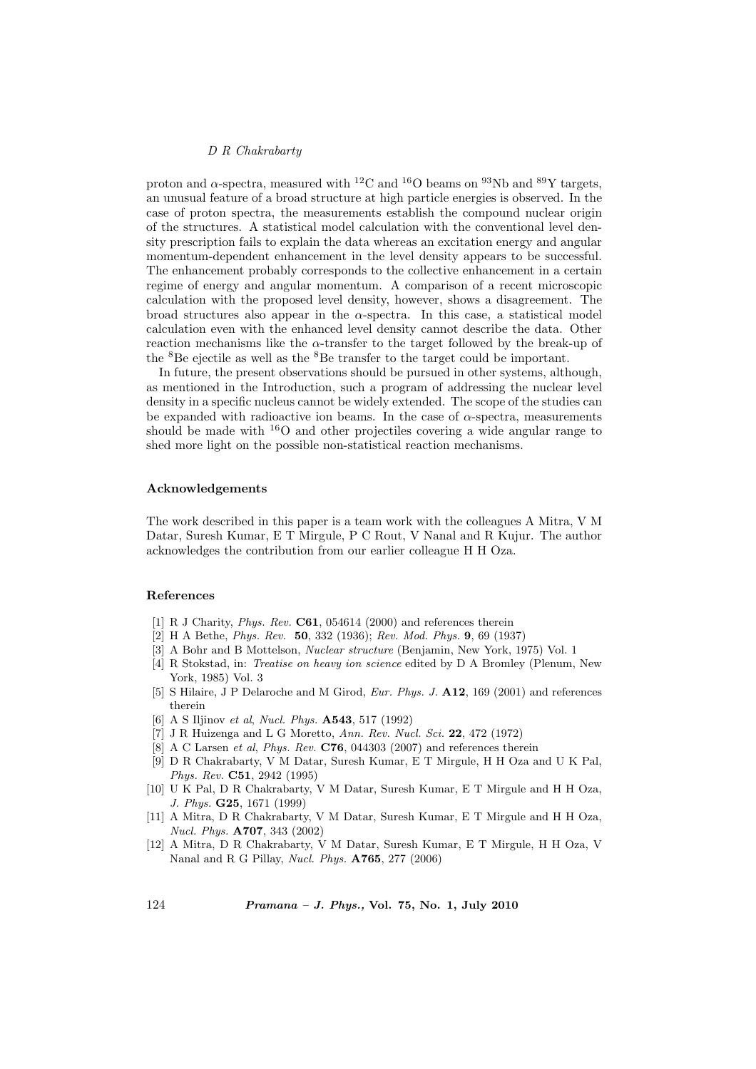proton and  $\alpha$ -spectra, measured with <sup>12</sup>C and <sup>16</sup>O beams on <sup>93</sup>Nb and <sup>89</sup>Y targets, an unusual feature of a broad structure at high particle energies is observed. In the case of proton spectra, the measurements establish the compound nuclear origin of the structures. A statistical model calculation with the conventional level density prescription fails to explain the data whereas an excitation energy and angular momentum-dependent enhancement in the level density appears to be successful. The enhancement probably corresponds to the collective enhancement in a certain regime of energy and angular momentum. A comparison of a recent microscopic calculation with the proposed level density, however, shows a disagreement. The broad structures also appear in the  $\alpha$ -spectra. In this case, a statistical model calculation even with the enhanced level density cannot describe the data. Other reaction mechanisms like the  $\alpha$ -transfer to the target followed by the break-up of the <sup>8</sup>Be ejectile as well as the <sup>8</sup>Be transfer to the target could be important.

In future, the present observations should be pursued in other systems, although, as mentioned in the Introduction, such a program of addressing the nuclear level density in a specific nucleus cannot be widely extended. The scope of the studies can be expanded with radioactive ion beams. In the case of  $\alpha$ -spectra, measurements should be made with  $^{16}O$  and other projectiles covering a wide angular range to shed more light on the possible non-statistical reaction mechanisms.

## Acknowledgements

The work described in this paper is a team work with the colleagues A Mitra, V M Datar, Suresh Kumar, E T Mirgule, P C Rout, V Nanal and R Kujur. The author acknowledges the contribution from our earlier colleague H H Oza.

## References

- [1] R J Charity, Phys. Rev. C61, 054614 (2000) and references therein
- [2] H A Bethe, Phys. Rev. 50, 332 (1936); Rev. Mod. Phys. 9, 69 (1937)
- [3] A Bohr and B Mottelson, Nuclear structure (Benjamin, New York, 1975) Vol. 1
- [4] R Stokstad, in: Treatise on heavy ion science edited by D A Bromley (Plenum, New York, 1985) Vol. 3
- [5] S Hilaire, J P Delaroche and M Girod, *Eur. Phys. J.* **A12**, 169 (2001) and references therein
- [6] A S Iljinov et al, Nucl. Phys. A543, 517 (1992)
- [7] J R Huizenga and L G Moretto, Ann. Rev. Nucl. Sci. 22, 472 (1972)
- [8] A C Larsen *et al, Phys. Rev.* **C76**, 044303 (2007) and references therein
- [9] D R Chakrabarty, V M Datar, Suresh Kumar, E T Mirgule, H H Oza and U K Pal, Phys. Rev. C51, 2942 (1995)
- [10] U K Pal, D R Chakrabarty, V M Datar, Suresh Kumar, E T Mirgule and H H Oza, J. Phys. G25, 1671 (1999)
- [11] A Mitra, D R Chakrabarty, V M Datar, Suresh Kumar, E T Mirgule and H H Oza, Nucl. Phys. A707, 343 (2002)
- [12] A Mitra, D R Chakrabarty, V M Datar, Suresh Kumar, E T Mirgule, H H Oza, V Nanal and R G Pillay, Nucl. Phys. A765, 277 (2006)